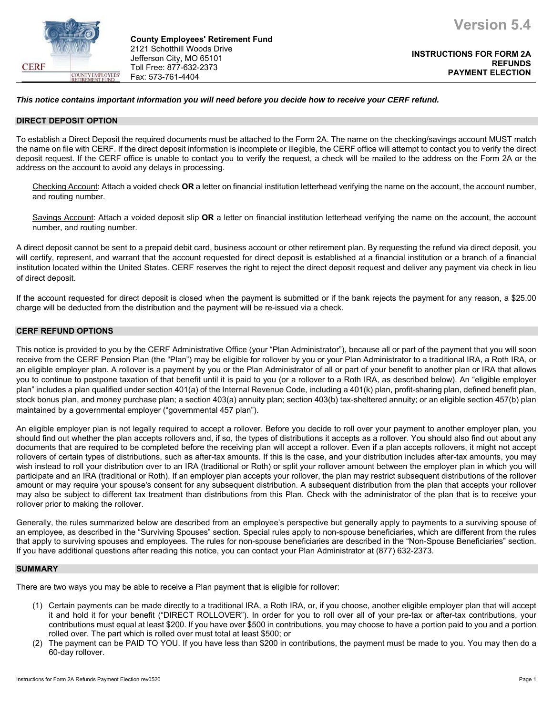

**County Employees' Retirement Fund**  2121 Schotthill Woods Drive Jefferson City, MO 65101 Toll Free: 877-632-2373 Fax: 573-761-4404

**INSTRUCTIONS FOR FORM 2A REFUNDS PAYMENT ELECTION**

## *This notice contains important information you will need before you decide how to receive your CERF refund.*

#### **DIRECT DEPOSIT OPTION**

To establish a Direct Deposit the required documents must be attached to the Form 2A. The name on the checking/savings account MUST match the name on file with CERF. If the direct deposit information is incomplete or illegible, the CERF office will attempt to contact you to verify the direct deposit request. If the CERF office is unable to contact you to verify the request, a check will be mailed to the address on the Form 2A or the address on the account to avoid any delays in processing.

Checking Account: Attach a voided check **OR** a letter on financial institution letterhead verifying the name on the account, the account number, and routing number.

Savings Account: Attach a voided deposit slip **OR** a letter on financial institution letterhead verifying the name on the account, the account number, and routing number.

A direct deposit cannot be sent to a prepaid debit card, business account or other retirement plan. By requesting the refund via direct deposit, you will certify, represent, and warrant that the account requested for direct deposit is established at a financial institution or a branch of a financial institution located within the United States. CERF reserves the right to reject the direct deposit request and deliver any payment via check in lieu of direct deposit.

If the account requested for direct deposit is closed when the payment is submitted or if the bank rejects the payment for any reason, a \$25.00 charge will be deducted from the distribution and the payment will be re-issued via a check.

### **CERF REFUND OPTIONS**

This notice is provided to you by the CERF Administrative Office (your "Plan Administrator"), because all or part of the payment that you will soon receive from the CERF Pension Plan (the "Plan") may be eligible for rollover by you or your Plan Administrator to a traditional IRA, a Roth IRA, or an eligible employer plan. A rollover is a payment by you or the Plan Administrator of all or part of your benefit to another plan or IRA that allows you to continue to postpone taxation of that benefit until it is paid to you (or a rollover to a Roth IRA, as described below). An "eligible employer plan" includes a plan qualified under section 401(a) of the Internal Revenue Code, including a 401(k) plan, profit-sharing plan, defined benefit plan, stock bonus plan, and money purchase plan; a section 403(a) annuity plan; section 403(b) tax-sheltered annuity; or an eligible section 457(b) plan maintained by a governmental employer ("governmental 457 plan").

An eligible employer plan is not legally required to accept a rollover. Before you decide to roll over your payment to another employer plan, you should find out whether the plan accepts rollovers and, if so, the types of distributions it accepts as a rollover. You should also find out about any documents that are required to be completed before the receiving plan will accept a rollover. Even if a plan accepts rollovers, it might not accept rollovers of certain types of distributions, such as after-tax amounts. If this is the case, and your distribution includes after-tax amounts, you may wish instead to roll your distribution over to an IRA (traditional or Roth) or split your rollover amount between the employer plan in which you will participate and an IRA (traditional or Roth). If an employer plan accepts your rollover, the plan may restrict subsequent distributions of the rollover amount or may require your spouse's consent for any subsequent distribution. A subsequent distribution from the plan that accepts your rollover may also be subject to different tax treatment than distributions from this Plan. Check with the administrator of the plan that is to receive your rollover prior to making the rollover.

Generally, the rules summarized below are described from an employee's perspective but generally apply to payments to a surviving spouse of an employee, as described in the "Surviving Spouses" section. Special rules apply to non-spouse beneficiaries, which are different from the rules that apply to surviving spouses and employees. The rules for non-spouse beneficiaries are described in the "Non-Spouse Beneficiaries" section. If you have additional questions after reading this notice, you can contact your Plan Administrator at (877) 632-2373.

# **SUMMARY**

There are two ways you may be able to receive a Plan payment that is eligible for rollover:

- (1) Certain payments can be made directly to a traditional IRA, a Roth IRA, or, if you choose, another eligible employer plan that will accept it and hold it for your benefit ("DIRECT ROLLOVER"). In order for you to roll over all of your pre-tax or after-tax contributions, your contributions must equal at least \$200. If you have over \$500 in contributions, you may choose to have a portion paid to you and a portion rolled over. The part which is rolled over must total at least \$500; or
- (2) The payment can be PAID TO YOU. If you have less than \$200 in contributions, the payment must be made to you. You may then do a 60-day rollover.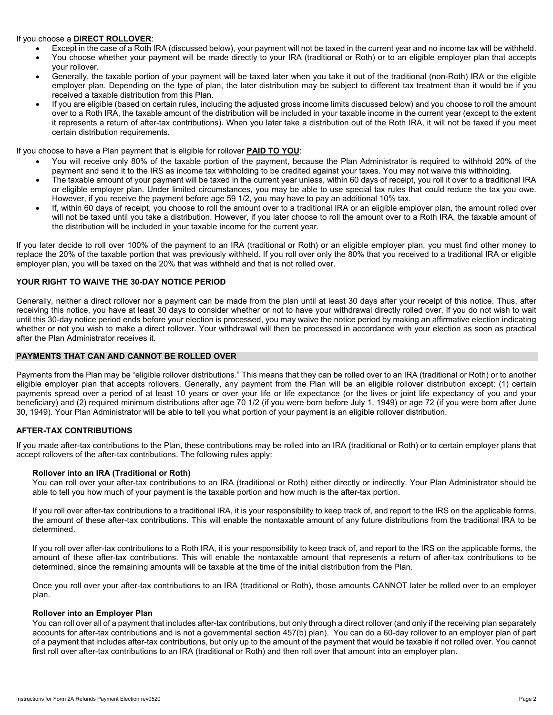### If you choose a **DIRECT ROLLOVER**:

- Except in the case of a Roth IRA (discussed below), your payment will not be taxed in the current year and no income tax will be withheld.
- You choose whether your payment will be made directly to your IRA (traditional or Roth) or to an eligible employer plan that accepts your rollover.
- Generally, the taxable portion of your payment will be taxed later when you take it out of the traditional (non-Roth) IRA or the eligible employer plan. Depending on the type of plan, the later distribution may be subject to different tax treatment than it would be if you received a taxable distribution from this Plan.
- If you are eligible (based on certain rules, including the adjusted gross income limits discussed below) and you choose to roll the amount over to a Roth IRA, the taxable amount of the distribution will be included in your taxable income in the current year (except to the extent it represents a return of after-tax contributions). When you later take a distribution out of the Roth IRA, it will not be taxed if you meet certain distribution requirements.

If you choose to have a Plan payment that is eligible for rollover **PAID TO YOU**:

- You will receive only 80% of the taxable portion of the payment, because the Plan Administrator is required to withhold 20% of the payment and send it to the IRS as income tax withholding to be credited against your taxes. You may not waive this withholding.
- The taxable amount of your payment will be taxed in the current year unless, within 60 days of receipt, you roll it over to a traditional IRA or eligible employer plan. Under limited circumstances, you may be able to use special tax rules that could reduce the tax you owe. However, if you receive the payment before age 59 1/2, you may have to pay an additional 10% tax.
- If, within 60 days of receipt, you choose to roll the amount over to a traditional IRA or an eligible employer plan, the amount rolled over will not be taxed until you take a distribution. However, if you later choose to roll the amount over to a Roth IRA, the taxable amount of the distribution will be included in your taxable income for the current year.

If you later decide to roll over 100% of the payment to an IRA (traditional or Roth) or an eligible employer plan, you must find other money to replace the 20% of the taxable portion that was previously withheld. If you roll over only the 80% that you received to a traditional IRA or eligible employer plan, you will be taxed on the 20% that was withheld and that is not rolled over.

# **YOUR RIGHT TO WAIVE THE 30-DAY NOTICE PERIOD**

Generally, neither a direct rollover nor a payment can be made from the plan until at least 30 days after your receipt of this notice. Thus, after receiving this notice, you have at least 30 days to consider whether or not to have your withdrawal directly rolled over. If you do not wish to wait until this 30-day notice period ends before your election is processed, you may waive the notice period by making an affirmative election indicating whether or not you wish to make a direct rollover. Your withdrawal will then be processed in accordance with your election as soon as practical after the Plan Administrator receives it.

# **PAYMENTS THAT CAN AND CANNOT BE ROLLED OVER**

Payments from the Plan may be "eligible rollover distributions." This means that they can be rolled over to an IRA (traditional or Roth) or to another eligible employer plan that accepts rollovers. Generally, any payment from the Plan will be an eligible rollover distribution except: (1) certain payments spread over a period of at least 10 years or over your life or life expectance (or the lives or joint life expectancy of you and your beneficiary) and (2) required minimum distributions after age 70 1/2 (if you were born before July 1, 1949) or age 72 (if you were born after June 30, 1949). Your Plan Administrator will be able to tell you what portion of your payment is an eligible rollover distribution.

## **AFTER-TAX CONTRIBUTIONS**

If you made after-tax contributions to the Plan, these contributions may be rolled into an IRA (traditional or Roth) or to certain employer plans that accept rollovers of the after-tax contributions. The following rules apply:

## **Rollover into an IRA (Traditional or Roth)**

You can roll over your after-tax contributions to an IRA (traditional or Roth) either directly or indirectly. Your Plan Administrator should be able to tell you how much of your payment is the taxable portion and how much is the after-tax portion.

If you roll over after-tax contributions to a traditional IRA, it is your responsibility to keep track of, and report to the IRS on the applicable forms, the amount of these after-tax contributions. This will enable the nontaxable amount of any future distributions from the traditional IRA to be determined.

If you roll over after-tax contributions to a Roth IRA, it is your responsibility to keep track of, and report to the IRS on the applicable forms, the amount of these after-tax contributions. This will enable the nontaxable amount that represents a return of after-tax contributions to be determined, since the remaining amounts will be taxable at the time of the initial distribution from the Plan.

Once you roll over your after-tax contributions to an IRA (traditional or Roth), those amounts CANNOT later be rolled over to an employer plan.

#### **Rollover into an Employer Plan**

You can roll over all of a payment that includes after-tax contributions, but only through a direct rollover (and only if the receiving plan separately accounts for after-tax contributions and is not a governmental section 457(b) plan). You can do a 60-day rollover to an employer plan of part of a payment that includes after-tax contributions, but only up to the amount of the payment that would be taxable if not rolled over. You cannot first roll over after-tax contributions to an IRA (traditional or Roth) and then roll over that amount into an employer plan.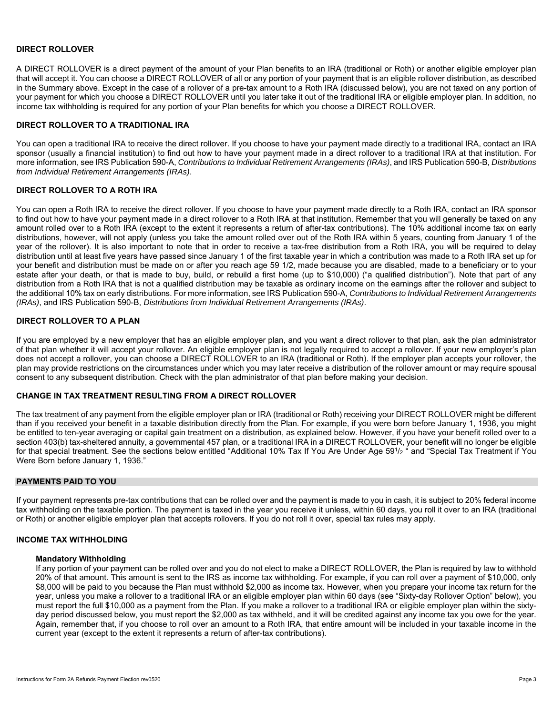## **DIRECT ROLLOVER**

A DIRECT ROLLOVER is a direct payment of the amount of your Plan benefits to an IRA (traditional or Roth) or another eligible employer plan that will accept it. You can choose a DIRECT ROLLOVER of all or any portion of your payment that is an eligible rollover distribution, as described in the Summary above. Except in the case of a rollover of a pre-tax amount to a Roth IRA (discussed below), you are not taxed on any portion of your payment for which you choose a DIRECT ROLLOVER until you later take it out of the traditional IRA or eligible employer plan. In addition, no income tax withholding is required for any portion of your Plan benefits for which you choose a DIRECT ROLLOVER.

## **DIRECT ROLLOVER TO A TRADITIONAL IRA**

You can open a traditional IRA to receive the direct rollover. If you choose to have your payment made directly to a traditional IRA, contact an IRA sponsor (usually a financial institution) to find out how to have your payment made in a direct rollover to a traditional IRA at that institution. For more information, see IRS Publication 590-A, *Contributions to Individual Retirement Arrangements (IRAs)*, and IRS Publication 590-B, *Distributions from Individual Retirement Arrangements (IRAs)*.

### **DIRECT ROLLOVER TO A ROTH IRA**

You can open a Roth IRA to receive the direct rollover. If you choose to have your payment made directly to a Roth IRA, contact an IRA sponsor to find out how to have your payment made in a direct rollover to a Roth IRA at that institution. Remember that you will generally be taxed on any amount rolled over to a Roth IRA (except to the extent it represents a return of after-tax contributions). The 10% additional income tax on early distributions, however, will not apply (unless you take the amount rolled over out of the Roth IRA within 5 years, counting from January 1 of the year of the rollover). It is also important to note that in order to receive a tax-free distribution from a Roth IRA, you will be required to delay distribution until at least five years have passed since January 1 of the first taxable year in which a contribution was made to a Roth IRA set up for your benefit and distribution must be made on or after you reach age 59 1/2, made because you are disabled, made to a beneficiary or to your estate after your death, or that is made to buy, build, or rebuild a first home (up to \$10,000) ("a qualified distribution"). Note that part of any distribution from a Roth IRA that is not a qualified distribution may be taxable as ordinary income on the earnings after the rollover and subject to the additional 10% tax on early distributions. For more information, see IRS Publication 590-A, *Contributions to Individual Retirement Arrangements (IRAs)*, and IRS Publication 590-B, *Distributions from Individual Retirement Arrangements (IRAs)*.

## **DIRECT ROLLOVER TO A PLAN**

If you are employed by a new employer that has an eligible employer plan, and you want a direct rollover to that plan, ask the plan administrator of that plan whether it will accept your rollover. An eligible employer plan is not legally required to accept a rollover. If your new employer's plan does not accept a rollover, you can choose a DIRECT ROLLOVER to an IRA (traditional or Roth). If the employer plan accepts your rollover, the plan may provide restrictions on the circumstances under which you may later receive a distribution of the rollover amount or may require spousal consent to any subsequent distribution. Check with the plan administrator of that plan before making your decision.

#### **CHANGE IN TAX TREATMENT RESULTING FROM A DIRECT ROLLOVER**

The tax treatment of any payment from the eligible employer plan or IRA (traditional or Roth) receiving your DIRECT ROLLOVER might be different than if you received your benefit in a taxable distribution directly from the Plan. For example, if you were born before January 1, 1936, you might be entitled to ten-year averaging or capital gain treatment on a distribution, as explained below. However, if you have your benefit rolled over to a section 403(b) tax-sheltered annuity, a governmental 457 plan, or a traditional IRA in a DIRECT ROLLOVER, your benefit will no longer be eligible for that special treatment. See the sections below entitled "Additional 10% Tax If You Are Under Age 59<sup>1</sup>/<sub>2</sub> " and "Special Tax Treatment if You Were Born before January 1, 1936."

#### **PAYMENTS PAID TO YOU**

If your payment represents pre-tax contributions that can be rolled over and the payment is made to you in cash, it is subject to 20% federal income tax withholding on the taxable portion. The payment is taxed in the year you receive it unless, within 60 days, you roll it over to an IRA (traditional or Roth) or another eligible employer plan that accepts rollovers. If you do not roll it over, special tax rules may apply.

### **INCOME TAX WITHHOLDING**

#### **Mandatory Withholding**

If any portion of your payment can be rolled over and you do not elect to make a DIRECT ROLLOVER, the Plan is required by law to withhold 20% of that amount. This amount is sent to the IRS as income tax withholding. For example, if you can roll over a payment of \$10,000, only \$8,000 will be paid to you because the Plan must withhold \$2,000 as income tax. However, when you prepare your income tax return for the year, unless you make a rollover to a traditional IRA or an eligible employer plan within 60 days (see "Sixty-day Rollover Option" below), you must report the full \$10,000 as a payment from the Plan. If you make a rollover to a traditional IRA or eligible employer plan within the sixtyday period discussed below, you must report the \$2,000 as tax withheld, and it will be credited against any income tax you owe for the year. Again, remember that, if you choose to roll over an amount to a Roth IRA, that entire amount will be included in your taxable income in the current year (except to the extent it represents a return of after-tax contributions).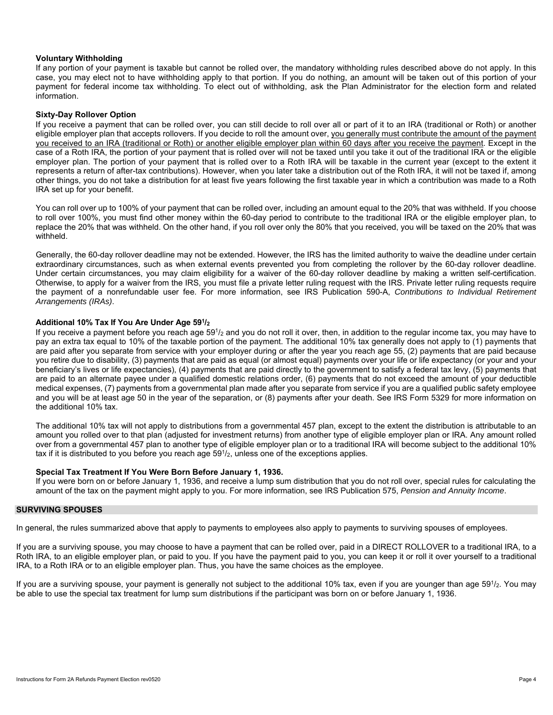### **Voluntary Withholding**

If any portion of your payment is taxable but cannot be rolled over, the mandatory withholding rules described above do not apply. In this case, you may elect not to have withholding apply to that portion. If you do nothing, an amount will be taken out of this portion of your payment for federal income tax withholding. To elect out of withholding, ask the Plan Administrator for the election form and related information.

### **Sixty-Day Rollover Option**

If you receive a payment that can be rolled over, you can still decide to roll over all or part of it to an IRA (traditional or Roth) or another eligible employer plan that accepts rollovers. If you decide to roll the amount over, you generally must contribute the amount of the payment you received to an IRA (traditional or Roth) or another eligible employer plan within 60 days after you receive the payment. Except in the case of a Roth IRA, the portion of your payment that is rolled over will not be taxed until you take it out of the traditional IRA or the eligible employer plan. The portion of your payment that is rolled over to a Roth IRA will be taxable in the current year (except to the extent it represents a return of after-tax contributions). However, when you later take a distribution out of the Roth IRA, it will not be taxed if, among other things, you do not take a distribution for at least five years following the first taxable year in which a contribution was made to a Roth IRA set up for your benefit.

You can roll over up to 100% of your payment that can be rolled over, including an amount equal to the 20% that was withheld. If you choose to roll over 100%, you must find other money within the 60-day period to contribute to the traditional IRA or the eligible employer plan, to replace the 20% that was withheld. On the other hand, if you roll over only the 80% that you received, you will be taxed on the 20% that was withheld.

Generally, the 60-day rollover deadline may not be extended. However, the IRS has the limited authority to waive the deadline under certain extraordinary circumstances, such as when external events prevented you from completing the rollover by the 60-day rollover deadline. Under certain circumstances, you may claim eligibility for a waiver of the 60-day rollover deadline by making a written self-certification. Otherwise, to apply for a waiver from the IRS, you must file a private letter ruling request with the IRS. Private letter ruling requests require the payment of a nonrefundable user fee. For more information, see IRS Publication 590-A, *Contributions to Individual Retirement Arrangements (IRAs)*.

## **Additional 10% Tax If You Are Under Age 591/2**

If you receive a payment before you reach age 59<sup>1</sup>/<sub>2</sub> and you do not roll it over, then, in addition to the regular income tax, you may have to pay an extra tax equal to 10% of the taxable portion of the payment. The additional 10% tax generally does not apply to (1) payments that are paid after you separate from service with your employer during or after the year you reach age 55, (2) payments that are paid because you retire due to disability, (3) payments that are paid as equal (or almost equal) payments over your life or life expectancy (or your and your beneficiary's lives or life expectancies), (4) payments that are paid directly to the government to satisfy a federal tax levy, (5) payments that are paid to an alternate payee under a qualified domestic relations order, (6) payments that do not exceed the amount of your deductible medical expenses, (7) payments from a governmental plan made after you separate from service if you are a qualified public safety employee and you will be at least age 50 in the year of the separation, or (8) payments after your death. See IRS Form 5329 for more information on the additional 10% tax.

The additional 10% tax will not apply to distributions from a governmental 457 plan, except to the extent the distribution is attributable to an amount you rolled over to that plan (adjusted for investment returns) from another type of eligible employer plan or IRA. Any amount rolled over from a governmental 457 plan to another type of eligible employer plan or to a traditional IRA will become subject to the additional 10% tax if it is distributed to you before you reach age  $59<sup>1</sup>/2$ , unless one of the exceptions applies.

#### **Special Tax Treatment If You Were Born Before January 1, 1936.**

If you were born on or before January 1, 1936, and receive a lump sum distribution that you do not roll over, special rules for calculating the amount of the tax on the payment might apply to you. For more information, see IRS Publication 575, *Pension and Annuity Income*.

#### **SURVIVING SPOUSES**

In general, the rules summarized above that apply to payments to employees also apply to payments to surviving spouses of employees.

If you are a surviving spouse, you may choose to have a payment that can be rolled over, paid in a DIRECT ROLLOVER to a traditional IRA, to a Roth IRA, to an eligible employer plan, or paid to you. If you have the payment paid to you, you can keep it or roll it over yourself to a traditional IRA, to a Roth IRA or to an eligible employer plan. Thus, you have the same choices as the employee.

If you are a surviving spouse, your payment is generally not subject to the additional 10% tax, even if you are younger than age 591/2. You may be able to use the special tax treatment for lump sum distributions if the participant was born on or before January 1, 1936.